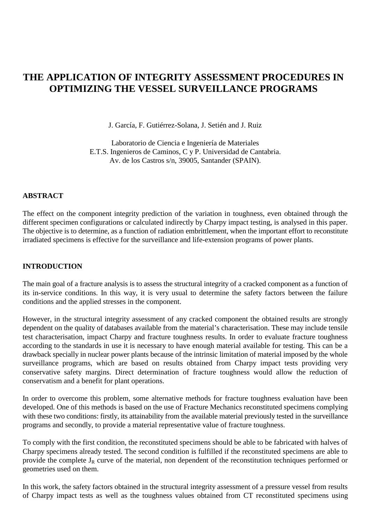# **THE APPLICATION OF INTEGRITY ASSESSMENT PROCEDURES IN OPTIMIZING THE VESSEL SURVEILLANCE PROGRAMS**

J. García, F. Gutiérrez-Solana, J. Setién and J. Ruiz

Laboratorio de Ciencia e Ingeniería de Materiales E.T.S. Ingenieros de Caminos, C y P. Universidad de Cantabria. Av. de los Castros s/n, 39005, Santander (SPAIN).

## **ABSTRACT**

The effect on the component integrity prediction of the variation in toughness, even obtained through the different specimen configurations or calculated indirectly by Charpy impact testing, is analysed in this paper. The objective is to determine, as a function of radiation embrittlement, when the important effort to reconstitute irradiated specimens is effective for the surveillance and life-extension programs of power plants.

#### **INTRODUCTION**

The main goal of a fracture analysis is to assess the structural integrity of a cracked component as a function of its in-service conditions. In this way, it is very usual to determine the safety factors between the failure conditions and the applied stresses in the component.

However, in the structural integrity assessment of any cracked component the obtained results are strongly dependent on the quality of databases available from the material's characterisation. These may include tensile test characterisation, impact Charpy and fracture toughness results. In order to evaluate fracture toughness according to the standards in use it is necessary to have enough material available for testing. This can be a drawback specially in nuclear power plants because of the intrinsic limitation of material imposed by the whole surveillance programs, which are based on results obtained from Charpy impact tests providing very conservative safety margins. Direct determination of fracture toughness would allow the reduction of conservatism and a benefit for plant operations.

In order to overcome this problem, some alternative methods for fracture toughness evaluation have been developed. One of this methods is based on the use of Fracture Mechanics reconstituted specimens complying with these two conditions: firstly, its attainability from the available material previously tested in the surveillance programs and secondly, to provide a material representative value of fracture toughness.

To comply with the first condition, the reconstituted specimens should be able to be fabricated with halves of Charpy specimens already tested. The second condition is fulfilled if the reconstituted specimens are able to provide the complete  $J_R$  curve of the material, non dependent of the reconstitution techniques performed or geometries used on them.

In this work, the safety factors obtained in the structural integrity assessment of a pressure vessel from results of Charpy impact tests as well as the toughness values obtained from CT reconstituted specimens using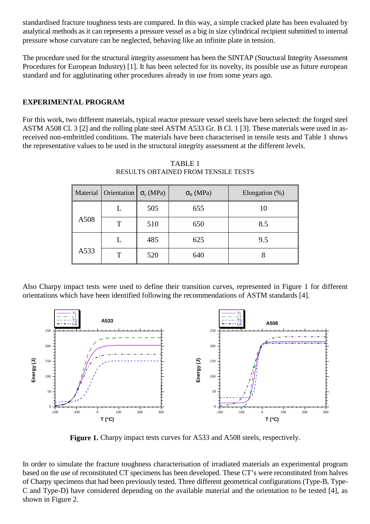standardised fracture toughness tests are compared. In this way, a simple cracked plate has been evaluated by analytical methods as it can represents a pressure vessel as a big in size cylindrical recipient submitted to internal pressure whose curvature can be neglected, behaving like an infinite plate in tension.

The procedure used for the structural integrity assessment has been the SINTAP (Structural Integrity Assessment Procedures for European Industry) [1]. It has been selected for its novelty, its possible use as future european standard and for agglutinating other procedures already in use from some years ago.

# **EXPERIMENTAL PROGRAM**

For this work, two different materials, typical reactor pressure vessel steels have been selected: the forged steel ASTM A508 Cl. 3 [2] and the rolling plate steel ASTM A533 Gr. B Cl. 1 [3]. These materials were used in asreceived non-embrittled conditions. The materials have been characterised in tensile tests and Table 1 shows the representative values to be used in the structural integrity assessment at the different levels.

| Material | Orientation | $\sigma_{v}$ (MPa) | $\sigma_{R}$ (MPa) | Elongation $(\%)$ |
|----------|-------------|--------------------|--------------------|-------------------|
|          |             | 505                | 655                | 10                |
| A508     | T           | 510                | 650                | 8.5               |
|          |             | 485                | 625                | 9.5               |
| A533     | т           | 520                | 640                |                   |

TABLE 1 RESULTS OBTAINED FROM TENSILE TESTS

Also Charpy impact tests were used to define their transition curves, represented in Figure 1 for different orientations which have been identified following the recommendations of ASTM standards [4].



**Figure 1.** Charpy impact tests curves for A533 and A508 steels, respectively.

In order to simulate the fracture toughness characterisation of irradiated materials an experimental program based on the use of reconstituted CT specimens has been developed. These CT's were reconstituted from halves of Charpy specimens that had been previously tested. Three different geometrical configurations (Type-B, Type-C and Type-D) have considered depending on the available material and the orientation to be tested [4], as shown in Figure 2.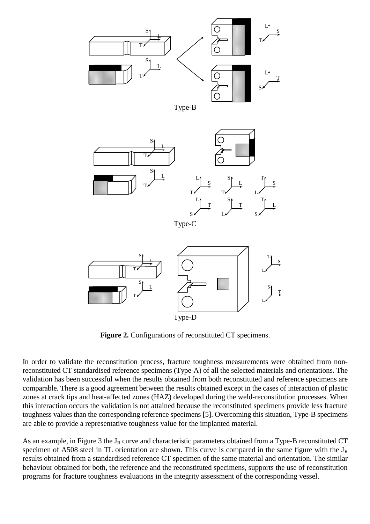



Type-C



**Figure 2.** Configurations of reconstituted CT specimens.

In order to validate the reconstitution process, fracture toughness measurements were obtained from nonreconstituted CT standardised reference specimens (Type-A) of all the selected materials and orientations. The validation has been successful when the results obtained from both reconstituted and reference specimens are comparable. There is a good agreement between the results obtained except in the cases of interaction of plastic zones at crack tips and heat-affected zones (HAZ) developed during the weld-reconstitution processes. When this interaction occurs the validation is not attained because the reconstituted specimens provide less fracture toughness values than the corresponding reference specimens [5]. Overcoming this situation, Type-B specimens are able to provide a representative toughness value for the implanted material.

As an example, in Figure 3 the J<sub>R</sub> curve and characteristic parameters obtained from a Type-B reconstituted CT specimen of A508 steel in TL orientation are shown. This curve is compared in the same figure with the  $J_R$ results obtained from a standardised reference CT specimen of the same material and orientation. The similar behaviour obtained for both, the reference and the reconstituted specimens, supports the use of reconstitution programs for fracture toughness evaluations in the integrity assessment of the corresponding vessel.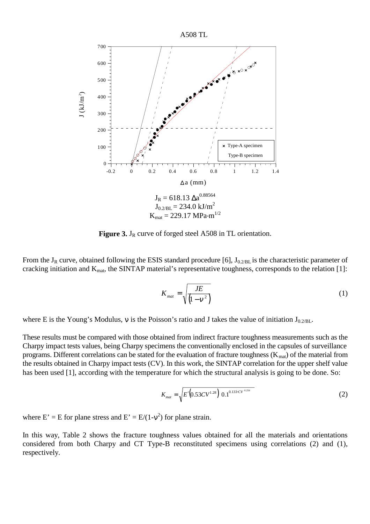

**Figure 3.** J<sub>R</sub> curve of forged steel A508 in TL orientation.

From the  $J_R$  curve, obtained following the ESIS standard procedure [6],  $J_{0.2/BL}$  is the characteristic parameter of cracking initiation and  $K_{\text{mat}}$ , the SINTAP material's representative toughness, corresponds to the relation [1]:

$$
K_{\text{mat}} = \sqrt{\frac{JE}{\left(1 - v^2\right)}}\tag{1}
$$

where E is the Young's Modulus, v is the Poisson's ratio and J takes the value of initiation  $J_{0.2/BL}$ .

These results must be compared with those obtained from indirect fracture toughness measurements such as the Charpy impact tests values, being Charpy specimens the conventionally enclosed in the capsules of surveillance programs. Different correlations can be stated for the evaluation of fracture toughness ( $K_{\text{mat}}$ ) of the material from the results obtained in Charpy impact tests (CV). In this work, the SINTAP correlation for the upper shelf value has been used [1], according with the temperature for which the structural analysis is going to be done. So:

$$
K_{mat} = \sqrt{E'(0.53CV^{1.28})(0.1^{0.133 \cdot CV^{0.256}})}
$$
 (2)

where  $E' = E$  for plane stress and  $E' = E/(1-v^2)$  for plane strain.

In this way, Table 2 shows the fracture toughness values obtained for all the materials and orientations considered from both Charpy and CT Type-B reconstituted specimens using correlations (2) and (1), respectively.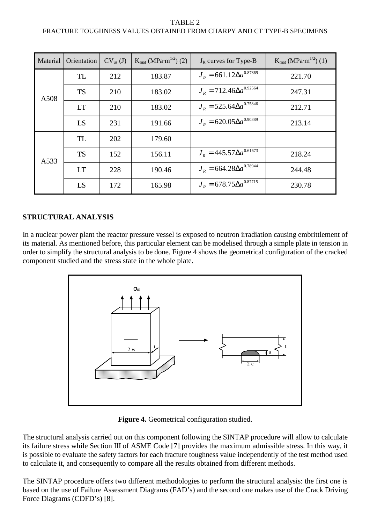# TABLE 2 FRACTURE TOUGHNESS VALUES OBTAINED FROM CHARPY AND CT TYPE-B SPECIMENS

| Material | Orientation | $CV_{us}(J)$ | $K_{\text{mat}} (MPa \cdot m^{1/2})$ (2) | $J_R$ curves for Type-B           | $K_{\text{mat}} (MPa \cdot m^{1/2})$ (1) |
|----------|-------------|--------------|------------------------------------------|-----------------------------------|------------------------------------------|
| A508     | TL          | 212          | 183.87                                   | $J_R = 661.12 \Delta a^{0.87869}$ | 221.70                                   |
|          | <b>TS</b>   | 210          | 183.02                                   | $J_R = 712.46 \Delta a^{0.92564}$ | 247.31                                   |
|          | <b>LT</b>   | 210          | 183.02                                   | $J_R = 525.64 \Delta a^{0.75846}$ | 212.71                                   |
|          | LS          | 231          | 191.66                                   | $J_R = 620.05 \Delta a^{0.90889}$ | 213.14                                   |
| A533     | TL          | 202          | 179.60                                   |                                   |                                          |
|          | <b>TS</b>   | 152          | 156.11                                   | $J_R = 445.57 \Delta a^{0.61673}$ | 218.24                                   |
|          | <b>LT</b>   | 228          | 190.46                                   | $J_R = 664.28 \Delta a^{0.78944}$ | 244.48                                   |
|          | LS          | 172          | 165.98                                   | $J_R = 678.75 \Delta a^{0.87715}$ | 230.78                                   |

# **STRUCTURAL ANALYSIS**

In a nuclear power plant the reactor pressure vessel is exposed to neutron irradiation causing embrittlement of its material. As mentioned before, this particular element can be modelised through a simple plate in tension in order to simplify the structural analysis to be done. Figure 4 shows the geometrical configuration of the cracked component studied and the stress state in the whole plate.



**Figure 4.** Geometrical configuration studied.

The structural analysis carried out on this component following the SINTAP procedure will allow to calculate its failure stress while Section III of ASME Code [7] provides the maximum admissible stress. In this way, it is possible to evaluate the safety factors for each fracture toughness value independently of the test method used to calculate it, and consequently to compare all the results obtained from different methods.

The SINTAP procedure offers two different methodologies to perform the structural analysis: the first one is based on the use of Failure Assessment Diagrams (FAD's) and the second one makes use of the Crack Driving Force Diagrams (CDFD's) [8].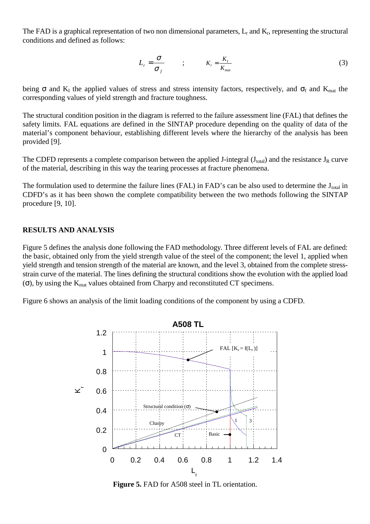The FAD is a graphical representation of two non dimensional parameters,  $L_r$  and  $K_r$ , representing the structural conditions and defined as follows:

$$
L_r = \frac{\sigma}{\sigma_f} \qquad ; \qquad K_r = \frac{K_I}{K_{mat}} \tag{3}
$$

being  $\sigma$  and K<sub>I</sub> the applied values of stress and stress intensity factors, respectively, and  $\sigma_f$  and K<sub>mat</sub> the corresponding values of yield strength and fracture toughness.

The structural condition position in the diagram is referred to the failure assessment line (FAL) that defines the safety limits. FAL equations are defined in the SINTAP procedure depending on the quality of data of the material's component behaviour, establishing different levels where the hierarchy of the analysis has been provided [9].

The CDFD represents a complete comparison between the applied J-integral (J<sub>total</sub>) and the resistance J<sub>R</sub> curve of the material, describing in this way the tearing processes at fracture phenomena.

The formulation used to determine the failure lines (FAL) in FAD's can be also used to determine the  $J_{total}$  in CDFD's as it has been shown the complete compatibility between the two methods following the SINTAP procedure [9, 10].

#### **RESULTS AND ANALYSIS**

Figure 5 defines the analysis done following the FAD methodology. Three different levels of FAL are defined: the basic, obtained only from the yield strength value of the steel of the component; the level 1, applied when yield strength and tension strength of the material are known, and the level 3, obtained from the complete stressstrain curve of the material. The lines defining the structural conditions show the evolution with the applied load (σ), by using the  $K_{mat}$  values obtained from Charpy and reconstituted CT specimens.

Figure 6 shows an analysis of the limit loading conditions of the component by using a CDFD.



**Figure 5.** FAD for A508 steel in TL orientation.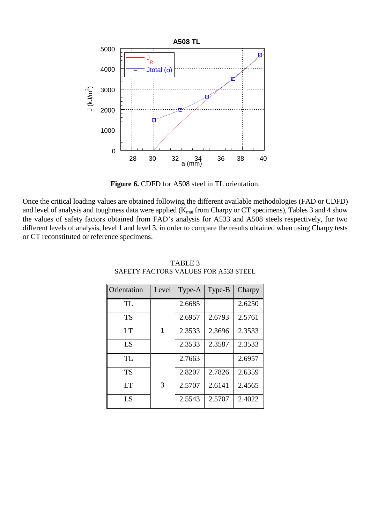

**Figure 6.** CDFD for A508 steel in TL orientation.

Once the critical loading values are obtained following the different available methodologies (FAD or CDFD) and level of analysis and toughness data were applied (K<sub>mat</sub> from Charpy or CT specimens), Tables 3 and 4 show the values of safety factors obtained from FAD's analysis for A533 and A508 steels respectively, for two different levels of analysis, level 1 and level 3, in order to compare the results obtained when using Charpy tests or CT reconstituted or reference specimens.

| Orientation    | Level | Type-A | Type-B | Charpy |
|----------------|-------|--------|--------|--------|
| TL             |       | 2.6685 |        | 2.6250 |
| <b>TS</b>      |       | 2.6957 | 2.6793 | 2.5761 |
| <b>LT</b>      | 1     | 2.3533 | 2.3696 | 2.3533 |
| LS             |       | 2.3533 | 2.3587 | 2.3533 |
| TL             |       | 2.7663 |        | 2.6957 |
| TS             |       | 2.8207 | 2.7826 | 2.6359 |
| <b>LT</b>      | 3     | 2.5707 | 2.6141 | 2.4565 |
| L <sub>S</sub> |       | 2.5543 | 2.5707 | 2.4022 |

### TABLE 3 SAFETY FACTORS VALUES FOR A533 STEEL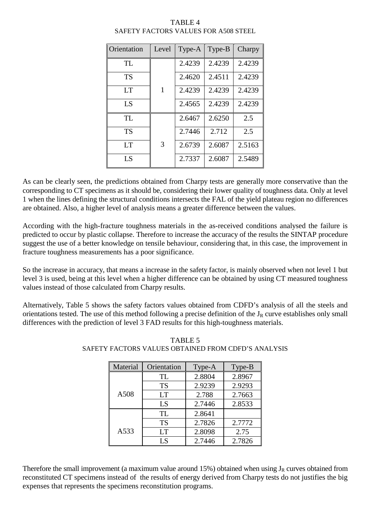| Orientation | Level | Type-A | Type-B | Charpy |
|-------------|-------|--------|--------|--------|
| <b>TL</b>   |       | 2.4239 | 2.4239 | 2.4239 |
| <b>TS</b>   |       | 2.4620 | 2.4511 | 2.4239 |
| <b>LT</b>   | 1     | 2.4239 | 2.4239 | 2.4239 |
| LS          |       | 2.4565 | 2.4239 | 2.4239 |
| TL          |       | 2.6467 | 2.6250 | 2.5    |
| <b>TS</b>   |       | 2.7446 | 2.712  | 2.5    |
| <b>LT</b>   | 3     | 2.6739 | 2.6087 | 2.5163 |
| LS          |       | 2.7337 | 2.6087 | 2.5489 |

# TABLE 4 SAFETY FACTORS VALUES FOR A508 STEEL

As can be clearly seen, the predictions obtained from Charpy tests are generally more conservative than the corresponding to CT specimens as it should be, considering their lower quality of toughness data. Only at level 1 when the lines defining the structural conditions intersects the FAL of the yield plateau region no differences are obtained. Also, a higher level of analysis means a greater difference between the values.

According with the high-fracture toughness materials in the as-received conditions analysed the failure is predicted to occur by plastic collapse. Therefore to increase the accuracy of the results the SINTAP procedure suggest the use of a better knowledge on tensile behaviour, considering that, in this case, the improvement in fracture toughness measurements has a poor significance.

So the increase in accuracy, that means a increase in the safety factor, is mainly observed when not level 1 but level 3 is used, being at this level when a higher difference can be obtained by using CT measured toughness values instead of those calculated from Charpy results.

Alternatively, Table 5 shows the safety factors values obtained from CDFD's analysis of all the steels and orientations tested. The use of this method following a precise definition of the  $J_R$  curve establishes only small differences with the prediction of level 3 FAD results for this high-toughness materials.

| Material | Orientation | Type-A | Type-B |
|----------|-------------|--------|--------|
|          | TL.         | 2.8804 | 2.8967 |
|          | <b>TS</b>   | 2.9239 | 2.9293 |
| A508     | <b>LT</b>   | 2.788  | 2.7663 |
|          | LS          | 2.7446 | 2.8533 |
|          | TL          | 2.8641 |        |
|          | <b>TS</b>   | 2.7826 | 2.7772 |
| A533     | <b>LT</b>   | 2.8098 | 2.75   |
|          | LS          | 2.7446 | 2.7826 |

# TABLE 5 SAFETY FACTORS VALUES OBTAINED FROM CDFD'S ANALYSIS

Therefore the small improvement (a maximum value around 15%) obtained when using  $J_R$  curves obtained from reconstituted CT specimens instead of the results of energy derived from Charpy tests do not justifies the big expenses that represents the specimens reconstitution programs.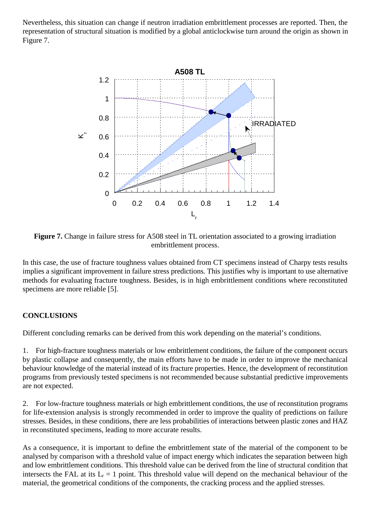Nevertheless, this situation can change if neutron irradiation embrittlement processes are reported. Then, the representation of structural situation is modified by a global anticlockwise turn around the origin as shown in Figure 7.



**Figure 7.** Change in failure stress for A508 steel in TL orientation associated to a growing irradiation embrittlement process.

In this case, the use of fracture toughness values obtained from CT specimens instead of Charpy tests results implies a significant improvement in failure stress predictions. This justifies why is important to use alternative methods for evaluating fracture toughness. Besides, is in high embrittlement conditions where reconstituted specimens are more reliable [5].

# **CONCLUSIONS**

Different concluding remarks can be derived from this work depending on the material's conditions.

1. For high-fracture toughness materials or low embrittlement conditions, the failure of the component occurs by plastic collapse and consequently, the main efforts have to be made in order to improve the mechanical behaviour knowledge of the material instead of its fracture properties. Hence, the development of reconstitution programs from previously tested specimens is not recommended because substantial predictive improvements are not expected.

2. For low-fracture toughness materials or high embrittlement conditions, the use of reconstitution programs for life-extension analysis is strongly recommended in order to improve the quality of predictions on failure stresses. Besides, in these conditions, there are less probabilities of interactions between plastic zones and HAZ in reconstituted specimens, leading to more accurate results.

As a consequence, it is important to define the embrittlement state of the material of the component to be analysed by comparison with a threshold value of impact energy which indicates the separation between high and low embrittlement conditions. This threshold value can be derived from the line of structural condition that intersects the FAL at its  $L_r = 1$  point. This threshold value will depend on the mechanical behaviour of the material, the geometrical conditions of the components, the cracking process and the applied stresses.